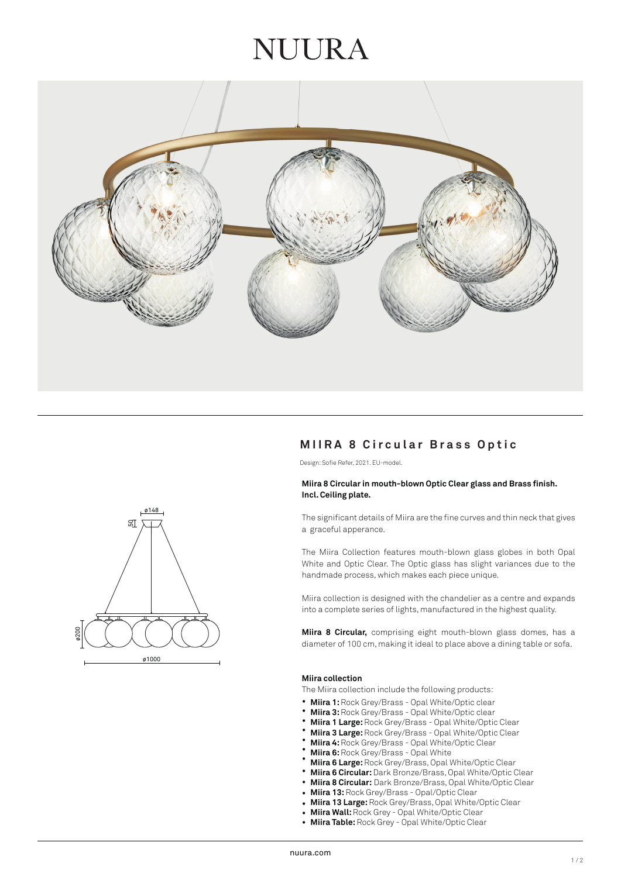## NUIRA



### **MIIRA 8 Circular Brass Optic**

Design: Sofie Refer, 2021. EU-model.

#### **Miira 8 Circular in mouth-blown Optic Clear glass and Brass finish. Incl. Ceiling plate.**

The significant details of Miira are the fine curves and thin neck that gives a graceful apperance.

The Miira Collection features mouth-blown glass globes in both Opal White and Optic Clear. The Optic glass has slight variances due to the handmade process, which makes each piece unique.

Miira collection is designed with the chandelier as a centre and expands into a complete series of lights, manufactured in the highest quality.

**Miira 8 Circular,** comprising eight mouth-blown glass domes, has a diameter of 100 cm, making it ideal to place above a dining table or sofa.

#### **Miira collection**

The Miira collection include the following products:

- **Miira 1:** Rock Grey/Brass Opal White/Optic clear •
- **Miira 3:** Rock Grey/Brass Opal White/Optic clear •
- **Miira 1 Large:** Rock Grey/Brass Opal White/Optic Clear •
- **Miira 3 Large:** Rock Grey/Brass Opal White/Optic Clear •
- **Miira 4:** Rock Grey/Brass Opal White/Optic Clear •
- **Miira 6:** Rock Grey/Brass Opal White •
- **Miira 6 Large:** Rock Grey/Brass, Opal White/Optic Clear •
- **Miira 6 Circular:** Dark Bronze/Brass, Opal White/Optic Clear •
- **Miira 8 Circular:** Dark Bronze/Brass, Opal White/Optic Clear •
- **Miira 13:** Rock Grey/Brass - Opal/Optic Clear
- **Miira 13 Large:** Rock Grey/Brass, Opal White/Optic Clear •
- **Miira Wall:** Rock Grey Opal White/Optic Clear •
- **Miira Table:** Rock Grey Opal White/Optic Clear •